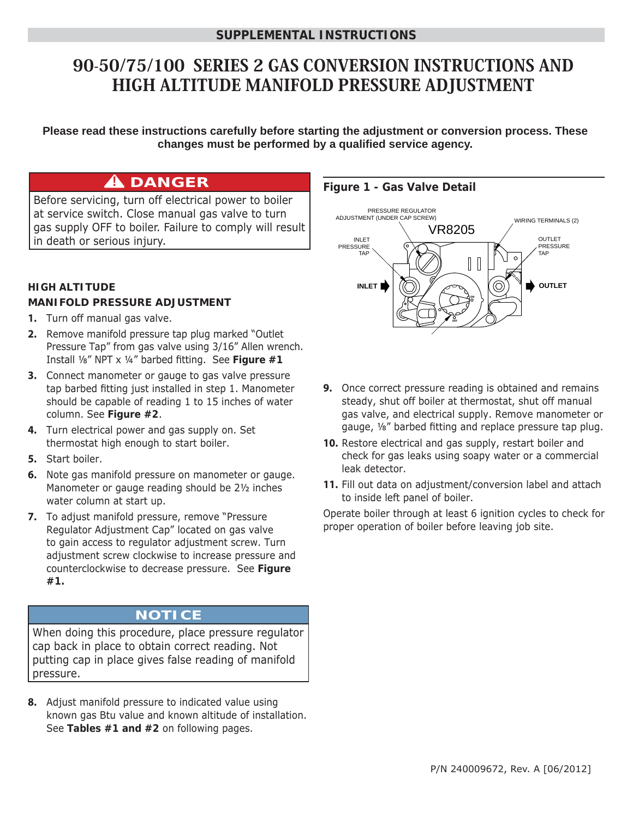# 90-50/75/100 SERIES 2 GAS CONVERSION INSTRUCTIONS AND HIGH ALTITUDE MANIFOLD PRESSURE ADJUSTMENT

**Please read these instructions carefully before starting the adjustment or conversion process. These**  changes must be performed by a qualified service agency.

# **A** DANGER

Before servicing, turn off electrical power to boiler at service switch. Close manual gas valve to turn gas supply OFF to boiler. Failure to comply will result in death or serious injury.

#### **HIGH ALTITUDE MANIFOLD PRESSURE ADJUSTMENT**

- **1.** Turn off manual gas valve.
- **2.** Remove manifold pressure tap plug marked "Outlet Pressure Tap" from gas valve using 3/16" Allen wrench. Install 1/8" NPT x 1/4" barbed fitting. See Figure #1
- **3.** Connect manometer or gauge to gas valve pressure tap barbed fitting just installed in step 1. Manometer should be capable of reading 1 to 15 inches of water column. See **Figure #2**.
- **4.** Turn electrical power and gas supply on. Set thermostat high enough to start boiler.
- **5.** Start boiler.
- **6.** Note gas manifold pressure on manometer or gauge. Manometer or gauge reading should be 2½ inches water column at start up.
- **7.** To adjust manifold pressure, remove "Pressure Regulator Adjustment Cap" located on gas valve to gain access to regulator adjustment screw. Turn adjustment screw clockwise to increase pressure and counterclockwise to decrease pressure. See **Figure #1.**

# **NOTICE**

When doing this procedure, place pressure regulator cap back in place to obtain correct reading. Not putting cap in place gives false reading of manifold pressure.

**8.** Adjust manifold pressure to indicated value using known gas Btu value and known altitude of installation. See **Tables #1 and #2** on following pages.

#### **Figure 1 - Gas Valve Detail**



- **9.** Once correct pressure reading is obtained and remains steady, shut off boiler at thermostat, shut off manual gas valve, and electrical supply. Remove manometer or gauge, 1/8" barbed fitting and replace pressure tap plug.
- **10.** Restore electrical and gas supply, restart boiler and check for gas leaks using soapy water or a commercial leak detector.
- **11.** Fill out data on adjustment/conversion label and attach to inside left panel of boiler.

Operate boiler through at least 6 ignition cycles to check for proper operation of boiler before leaving job site.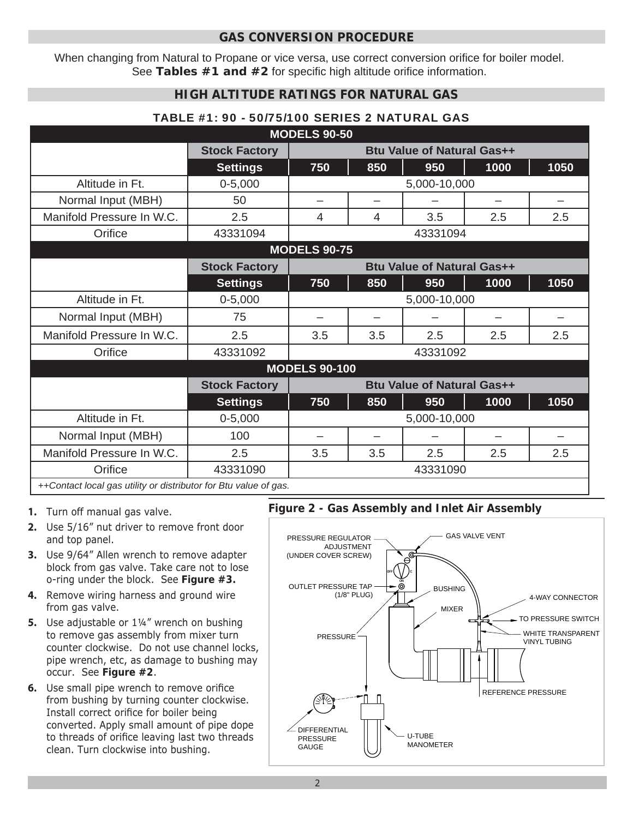### **GAS CONVERSION PROCEDURE**

When changing from Natural to Propane or vice versa, use correct conversion orifice for boiler model. See Tables #1 and #2 for specific high altitude orifice information.

## **HIGH ALTITUDE RATINGS FOR NATURAL GAS**

#### TABLE #1: 90 - 50/75/100 SERIES 2 NATURAL GAS

| <b>MODELS 90-50</b>                                              |                      |                                   |                          |     |                          |      |  |  |  |  |
|------------------------------------------------------------------|----------------------|-----------------------------------|--------------------------|-----|--------------------------|------|--|--|--|--|
|                                                                  | <b>Stock Factory</b> | <b>Btu Value of Natural Gas++</b> |                          |     |                          |      |  |  |  |  |
|                                                                  | <b>Settings</b>      | 750                               | 850                      | 950 | 1000                     | 1050 |  |  |  |  |
| Altitude in Ft.                                                  | $0 - 5,000$          | 5,000-10,000                      |                          |     |                          |      |  |  |  |  |
| Normal Input (MBH)                                               | 50                   | $\overline{\phantom{0}}$          | $\overline{\phantom{0}}$ |     | $\overline{\phantom{0}}$ |      |  |  |  |  |
| Manifold Pressure In W.C.                                        | 2.5                  | 4                                 | 4                        | 3.5 | 2.5                      | 2.5  |  |  |  |  |
| Orifice                                                          | 43331094             | 43331094                          |                          |     |                          |      |  |  |  |  |
| <b>MODELS 90-75</b>                                              |                      |                                   |                          |     |                          |      |  |  |  |  |
|                                                                  | <b>Stock Factory</b> | <b>Btu Value of Natural Gas++</b> |                          |     |                          |      |  |  |  |  |
|                                                                  | <b>Settings</b>      | 750                               | 850                      | 950 | 1000                     | 1050 |  |  |  |  |
| Altitude in Ft.                                                  | $0 - 5,000$          | 5,000-10,000                      |                          |     |                          |      |  |  |  |  |
| Normal Input (MBH)                                               | 75                   |                                   |                          |     |                          |      |  |  |  |  |
| Manifold Pressure In W.C.                                        | 2.5                  | 3.5                               | 3.5                      | 2.5 | 2.5                      | 2.5  |  |  |  |  |
| Orifice                                                          | 43331092             | 43331092                          |                          |     |                          |      |  |  |  |  |
| <b>MODELS 90-100</b>                                             |                      |                                   |                          |     |                          |      |  |  |  |  |
|                                                                  | <b>Stock Factory</b> | <b>Btu Value of Natural Gas++</b> |                          |     |                          |      |  |  |  |  |
|                                                                  | <b>Settings</b>      | 750                               | 850                      | 950 | 1000                     | 1050 |  |  |  |  |
| Altitude in Ft.                                                  | $0 - 5,000$          | 5,000-10,000                      |                          |     |                          |      |  |  |  |  |
| Normal Input (MBH)                                               | 100                  |                                   |                          |     |                          |      |  |  |  |  |
| Manifold Pressure In W.C.                                        | 2.5                  | 3.5                               | 3.5                      | 2.5 | 2.5                      | 2.5  |  |  |  |  |
| Orifice                                                          | 43331090             | 43331090                          |                          |     |                          |      |  |  |  |  |
| ++Contact local gas utility or distributor for Btu value of gas. |                      |                                   |                          |     |                          |      |  |  |  |  |

#### **1.** Turn off manual gas valve.

- **2.** Use 5/16" nut driver to remove front door and top panel.
- **3.** Use 9/64" Allen wrench to remove adapter block from gas valve. Take care not to lose o-ring under the block. See **Figure #3.**
- **4.** Remove wiring harness and ground wire from gas valve.
- **5.** Use adjustable or 1¼" wrench on bushing to remove gas assembly from mixer turn counter clockwise. Do not use channel locks, pipe wrench, etc, as damage to bushing may occur. See **Figure #2**.
- **6.** Use small pipe wrench to remove orifice from bushing by turning counter clockwise. Install correct orifice for boiler being converted. Apply small amount of pipe dope to threads of orifice leaving last two threads clean. Turn clockwise into bushing.

## **Figure 2 - Gas Assembly and Inlet Air Assembly**